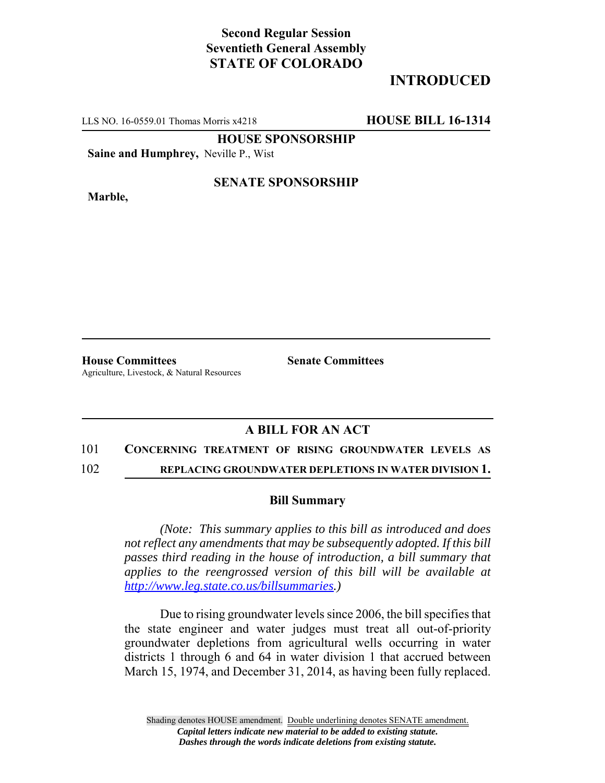## **Second Regular Session Seventieth General Assembly STATE OF COLORADO**

# **INTRODUCED**

LLS NO. 16-0559.01 Thomas Morris x4218 **HOUSE BILL 16-1314**

**HOUSE SPONSORSHIP**

**Saine and Humphrey,** Neville P., Wist

**Marble,**

### **SENATE SPONSORSHIP**

**House Committees Senate Committees** Agriculture, Livestock, & Natural Resources

## **A BILL FOR AN ACT**

#### 101 **CONCERNING TREATMENT OF RISING GROUNDWATER LEVELS AS**

102 **REPLACING GROUNDWATER DEPLETIONS IN WATER DIVISION 1.**

#### **Bill Summary**

*(Note: This summary applies to this bill as introduced and does not reflect any amendments that may be subsequently adopted. If this bill passes third reading in the house of introduction, a bill summary that applies to the reengrossed version of this bill will be available at http://www.leg.state.co.us/billsummaries.)*

Due to rising groundwater levels since 2006, the bill specifies that the state engineer and water judges must treat all out-of-priority groundwater depletions from agricultural wells occurring in water districts 1 through 6 and 64 in water division 1 that accrued between March 15, 1974, and December 31, 2014, as having been fully replaced.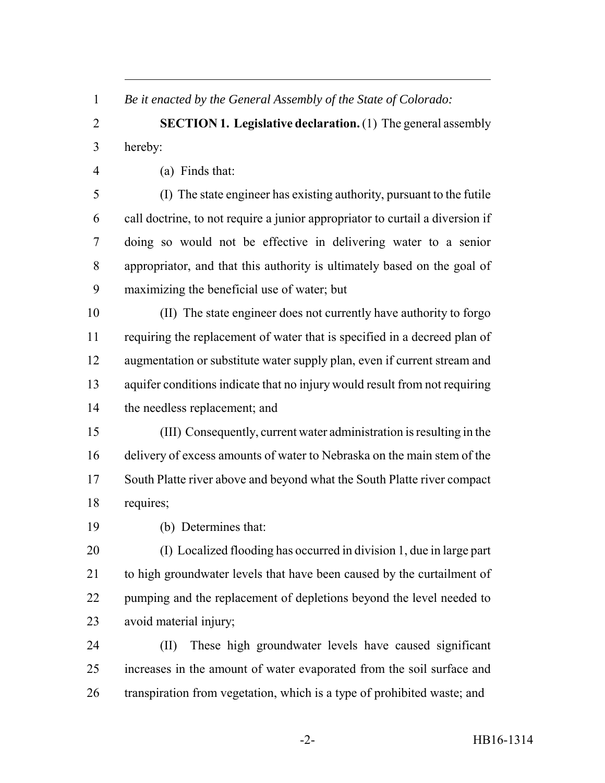*Be it enacted by the General Assembly of the State of Colorado:*

 **SECTION 1. Legislative declaration.** (1) The general assembly hereby:

(a) Finds that:

 (I) The state engineer has existing authority, pursuant to the futile call doctrine, to not require a junior appropriator to curtail a diversion if doing so would not be effective in delivering water to a senior appropriator, and that this authority is ultimately based on the goal of maximizing the beneficial use of water; but

 (II) The state engineer does not currently have authority to forgo requiring the replacement of water that is specified in a decreed plan of augmentation or substitute water supply plan, even if current stream and aquifer conditions indicate that no injury would result from not requiring the needless replacement; and

 (III) Consequently, current water administration is resulting in the delivery of excess amounts of water to Nebraska on the main stem of the South Platte river above and beyond what the South Platte river compact requires;

(b) Determines that:

 (I) Localized flooding has occurred in division 1, due in large part 21 to high groundwater levels that have been caused by the curtailment of 22 pumping and the replacement of depletions beyond the level needed to avoid material injury;

 (II) These high groundwater levels have caused significant increases in the amount of water evaporated from the soil surface and transpiration from vegetation, which is a type of prohibited waste; and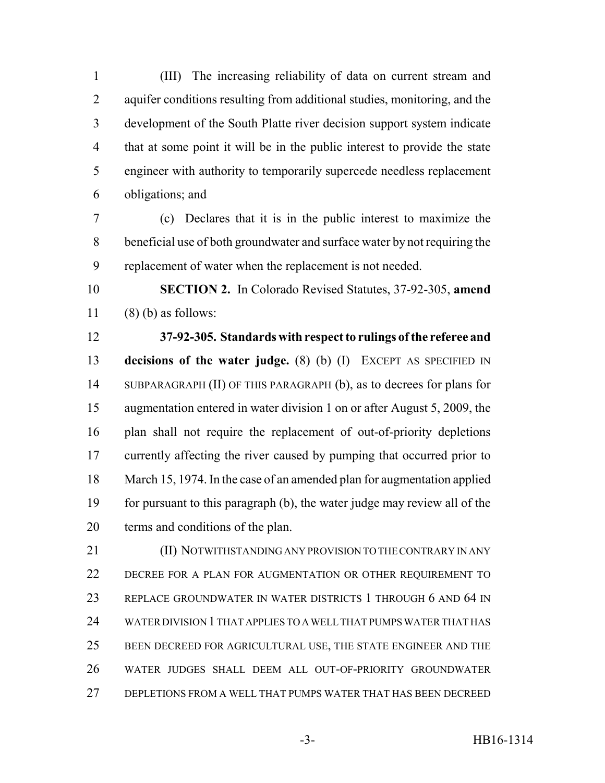(III) The increasing reliability of data on current stream and 2 aquifer conditions resulting from additional studies, monitoring, and the development of the South Platte river decision support system indicate that at some point it will be in the public interest to provide the state engineer with authority to temporarily supercede needless replacement obligations; and

 (c) Declares that it is in the public interest to maximize the beneficial use of both groundwater and surface water by not requiring the replacement of water when the replacement is not needed.

 **SECTION 2.** In Colorado Revised Statutes, 37-92-305, **amend** (8) (b) as follows:

 **37-92-305. Standards with respect to rulings of the referee and decisions of the water judge.** (8) (b) (I) EXCEPT AS SPECIFIED IN SUBPARAGRAPH (II) OF THIS PARAGRAPH (b), as to decrees for plans for augmentation entered in water division 1 on or after August 5, 2009, the plan shall not require the replacement of out-of-priority depletions 17 currently affecting the river caused by pumping that occurred prior to March 15, 1974. In the case of an amended plan for augmentation applied for pursuant to this paragraph (b), the water judge may review all of the terms and conditions of the plan.

 (II) NOTWITHSTANDING ANY PROVISION TO THE CONTRARY IN ANY DECREE FOR A PLAN FOR AUGMENTATION OR OTHER REQUIREMENT TO REPLACE GROUNDWATER IN WATER DISTRICTS 1 THROUGH 6 AND 64 IN WATER DIVISION 1 THAT APPLIES TO A WELL THAT PUMPS WATER THAT HAS BEEN DECREED FOR AGRICULTURAL USE, THE STATE ENGINEER AND THE WATER JUDGES SHALL DEEM ALL OUT-OF-PRIORITY GROUNDWATER DEPLETIONS FROM A WELL THAT PUMPS WATER THAT HAS BEEN DECREED